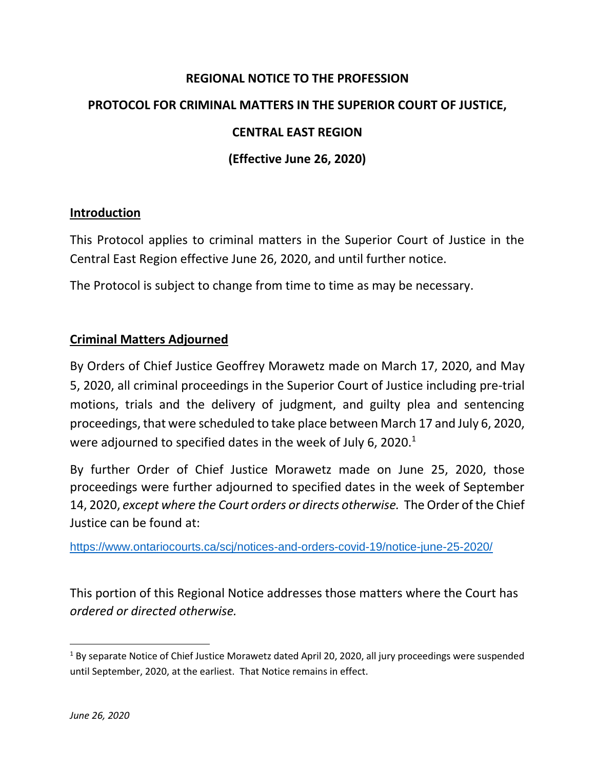# **REGIONAL NOTICE TO THE PROFESSION PROTOCOL FOR CRIMINAL MATTERS IN THE SUPERIOR COURT OF JUSTICE, CENTRAL EAST REGION (Effective June 26, 2020)**

## **Introduction**

This Protocol applies to criminal matters in the Superior Court of Justice in the Central East Region effective June 26, 2020, and until further notice.

The Protocol is subject to change from time to time as may be necessary.

## **Criminal Matters Adjourned**

By Orders of Chief Justice Geoffrey Morawetz made on March 17, 2020, and May 5, 2020, all criminal proceedings in the Superior Court of Justice including pre-trial motions, trials and the delivery of judgment, and guilty plea and sentencing proceedings, that were scheduled to take place between March 17 and July 6, 2020, were adjourned to specified dates in the week of July 6, 2020. $<sup>1</sup>$ </sup>

By further Order of Chief Justice Morawetz made on June 25, 2020, those proceedings were further adjourned to specified dates in the week of September 14, 2020, *except where the Court orders or directs otherwise.* The Order of the Chief Justice can be found at:

<https://www.ontariocourts.ca/scj/notices-and-orders-covid-19/notice-june-25-2020/>

This portion of this Regional Notice addresses those matters where the Court has *ordered or directed otherwise.*

l

<sup>&</sup>lt;sup>1</sup> By separate Notice of Chief Justice Morawetz dated April 20, 2020, all jury proceedings were suspended until September, 2020, at the earliest. That Notice remains in effect.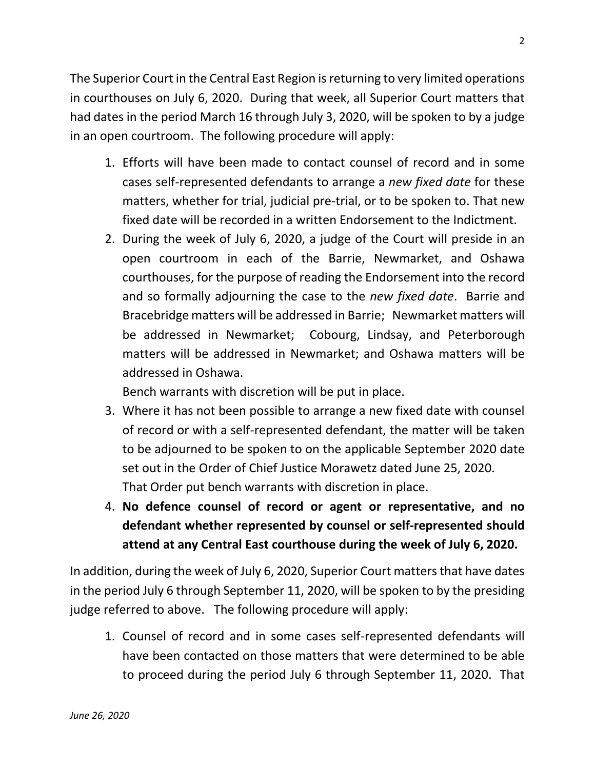The Superior Court in the Central East Region is returning to very limited operations in courthouses on July 6, 2020. During that week, all Superior Court matters that had dates in the period March 16 through July 3, 2020, will be spoken to by a judge in an open courtroom. The following procedure will apply:

- 1. Efforts will have been made to contact counsel of record and in some cases self-represented defendants to arrange a *new fixed date* for these matters, whether for trial, judicial pre-trial, or to be spoken to. That new fixed date will be recorded in a written Endorsement to the Indictment.
- 2. During the week of July 6, 2020, a judge of the Court will preside in an open courtroom in each of the Barrie, Newmarket, and Oshawa courthouses, for the purpose of reading the Endorsement into the record and so formally adjourning the case to the *new fixed date*. Barrie and Bracebridge matters will be addressed in Barrie; Newmarket matters will be addressed in Newmarket; Cobourg, Lindsay, and Peterborough matters will be addressed in Newmarket; and Oshawa matters will be addressed in Oshawa.

Bench warrants with discretion will be put in place.

- 3. Where it has not been possible to arrange a new fixed date with counsel of record or with a self-represented defendant, the matter will be taken to be adjourned to be spoken to on the applicable September 2020 date set out in the Order of Chief Justice Morawetz dated June 25, 2020. That Order put bench warrants with discretion in place.
- 4. **No defence counsel of record or agent or representative, and no defendant whether represented by counsel or self-represented should attend at any Central East courthouse during the week of July 6, 2020.**

In addition, during the week of July 6, 2020, Superior Court matters that have dates in the period July 6 through September 11, 2020, will be spoken to by the presiding judge referred to above. The following procedure will apply:

1. Counsel of record and in some cases self-represented defendants will have been contacted on those matters that were determined to be able to proceed during the period July 6 through September 11, 2020. That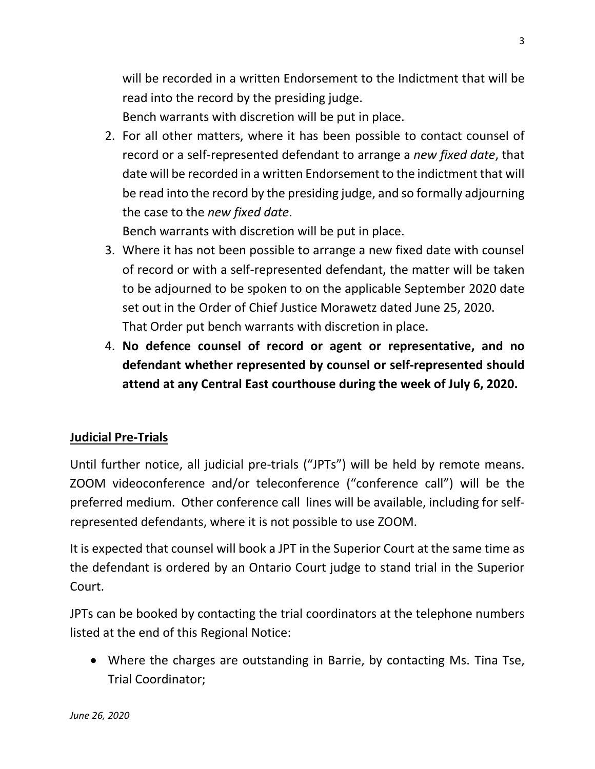will be recorded in a written Endorsement to the Indictment that will be read into the record by the presiding judge. Bench warrants with discretion will be put in place.

2. For all other matters, where it has been possible to contact counsel of record or a self-represented defendant to arrange a *new fixed date*, that date will be recorded in a written Endorsement to the indictment that will be read into the record by the presiding judge, and so formally adjourning the case to the *new fixed date*.

Bench warrants with discretion will be put in place.

- 3. Where it has not been possible to arrange a new fixed date with counsel of record or with a self-represented defendant, the matter will be taken to be adjourned to be spoken to on the applicable September 2020 date set out in the Order of Chief Justice Morawetz dated June 25, 2020. That Order put bench warrants with discretion in place.
- 4. **No defence counsel of record or agent or representative, and no defendant whether represented by counsel or self-represented should attend at any Central East courthouse during the week of July 6, 2020.**

# **Judicial Pre-Trials**

Until further notice, all judicial pre-trials ("JPTs") will be held by remote means. ZOOM videoconference and/or teleconference ("conference call") will be the preferred medium. Other conference call lines will be available, including for selfrepresented defendants, where it is not possible to use ZOOM.

It is expected that counsel will book a JPT in the Superior Court at the same time as the defendant is ordered by an Ontario Court judge to stand trial in the Superior Court.

JPTs can be booked by contacting the trial coordinators at the telephone numbers listed at the end of this Regional Notice:

• Where the charges are outstanding in Barrie, by contacting Ms. Tina Tse, Trial Coordinator;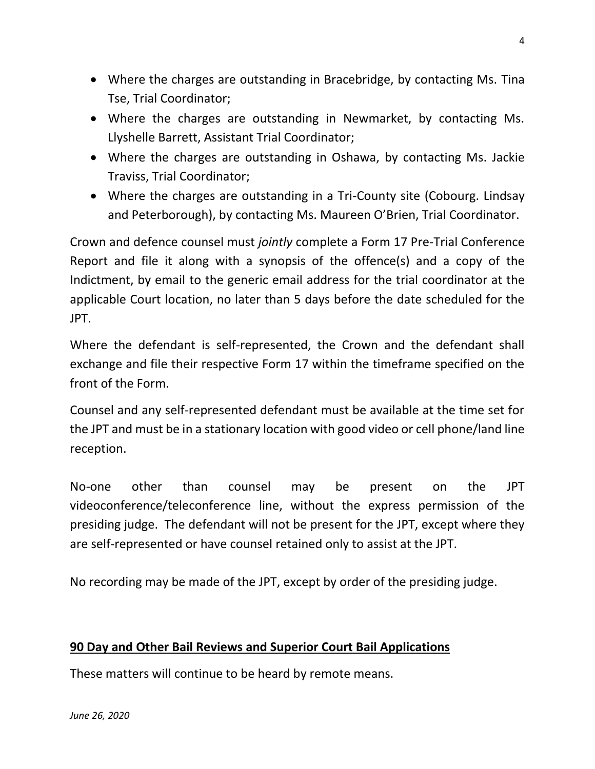- Where the charges are outstanding in Bracebridge, by contacting Ms. Tina Tse, Trial Coordinator;
- Where the charges are outstanding in Newmarket, by contacting Ms. Llyshelle Barrett, Assistant Trial Coordinator;
- Where the charges are outstanding in Oshawa, by contacting Ms. Jackie Traviss, Trial Coordinator;
- Where the charges are outstanding in a Tri-County site (Cobourg. Lindsay and Peterborough), by contacting Ms. Maureen O'Brien, Trial Coordinator.

Crown and defence counsel must *jointly* complete a Form 17 Pre-Trial Conference Report and file it along with a synopsis of the offence(s) and a copy of the Indictment, by email to the generic email address for the trial coordinator at the applicable Court location, no later than 5 days before the date scheduled for the JPT.

Where the defendant is self-represented, the Crown and the defendant shall exchange and file their respective Form 17 within the timeframe specified on the front of the Form.

Counsel and any self-represented defendant must be available at the time set for the JPT and must be in a stationary location with good video or cell phone/land line reception.

No-one other than counsel may be present on the JPT videoconference/teleconference line, without the express permission of the presiding judge. The defendant will not be present for the JPT, except where they are self-represented or have counsel retained only to assist at the JPT.

No recording may be made of the JPT, except by order of the presiding judge.

# **90 Day and Other Bail Reviews and Superior Court Bail Applications**

These matters will continue to be heard by remote means.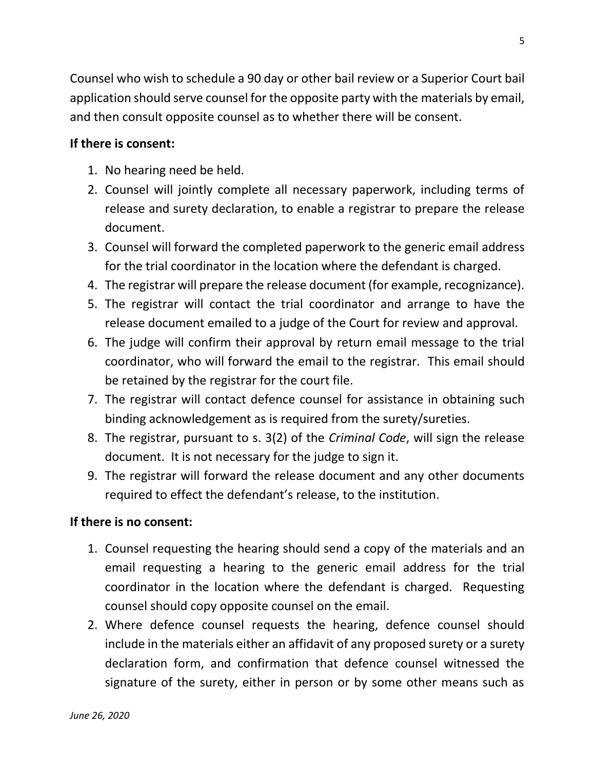Counsel who wish to schedule a 90 day or other bail review or a Superior Court bail application should serve counsel for the opposite party with the materials by email, and then consult opposite counsel as to whether there will be consent.

#### **If there is consent:**

- 1. No hearing need be held.
- 2. Counsel will jointly complete all necessary paperwork, including terms of release and surety declaration, to enable a registrar to prepare the release document.
- 3. Counsel will forward the completed paperwork to the generic email address for the trial coordinator in the location where the defendant is charged.
- 4. The registrar will prepare the release document (for example, recognizance).
- 5. The registrar will contact the trial coordinator and arrange to have the release document emailed to a judge of the Court for review and approval.
- 6. The judge will confirm their approval by return email message to the trial coordinator, who will forward the email to the registrar. This email should be retained by the registrar for the court file.
- 7. The registrar will contact defence counsel for assistance in obtaining such binding acknowledgement as is required from the surety/sureties.
- 8. The registrar, pursuant to s. 3(2) of the *Criminal Code*, will sign the release document. It is not necessary for the judge to sign it.
- 9. The registrar will forward the release document and any other documents required to effect the defendant's release, to the institution.

#### **If there is no consent:**

- 1. Counsel requesting the hearing should send a copy of the materials and an email requesting a hearing to the generic email address for the trial coordinator in the location where the defendant is charged. Requesting counsel should copy opposite counsel on the email.
- 2. Where defence counsel requests the hearing, defence counsel should include in the materials either an affidavit of any proposed surety or a surety declaration form, and confirmation that defence counsel witnessed the signature of the surety, either in person or by some other means such as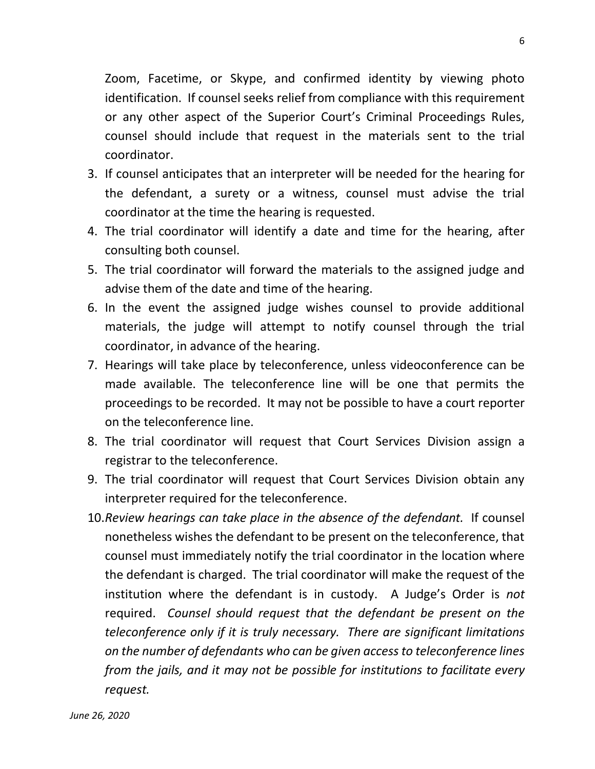Zoom, Facetime, or Skype, and confirmed identity by viewing photo identification. If counsel seeks relief from compliance with this requirement or any other aspect of the Superior Court's Criminal Proceedings Rules, counsel should include that request in the materials sent to the trial coordinator.

- 3. If counsel anticipates that an interpreter will be needed for the hearing for the defendant, a surety or a witness, counsel must advise the trial coordinator at the time the hearing is requested.
- 4. The trial coordinator will identify a date and time for the hearing, after consulting both counsel.
- 5. The trial coordinator will forward the materials to the assigned judge and advise them of the date and time of the hearing.
- 6. In the event the assigned judge wishes counsel to provide additional materials, the judge will attempt to notify counsel through the trial coordinator, in advance of the hearing.
- 7. Hearings will take place by teleconference, unless videoconference can be made available. The teleconference line will be one that permits the proceedings to be recorded. It may not be possible to have a court reporter on the teleconference line.
- 8. The trial coordinator will request that Court Services Division assign a registrar to the teleconference.
- 9. The trial coordinator will request that Court Services Division obtain any interpreter required for the teleconference.
- 10.*Review hearings can take place in the absence of the defendant.* If counsel nonetheless wishes the defendant to be present on the teleconference, that counsel must immediately notify the trial coordinator in the location where the defendant is charged. The trial coordinator will make the request of the institution where the defendant is in custody. A Judge's Order is *not* required. *Counsel should request that the defendant be present on the teleconference only if it is truly necessary. There are significant limitations on the number of defendants who can be given access to teleconference lines from the jails, and it may not be possible for institutions to facilitate every request.*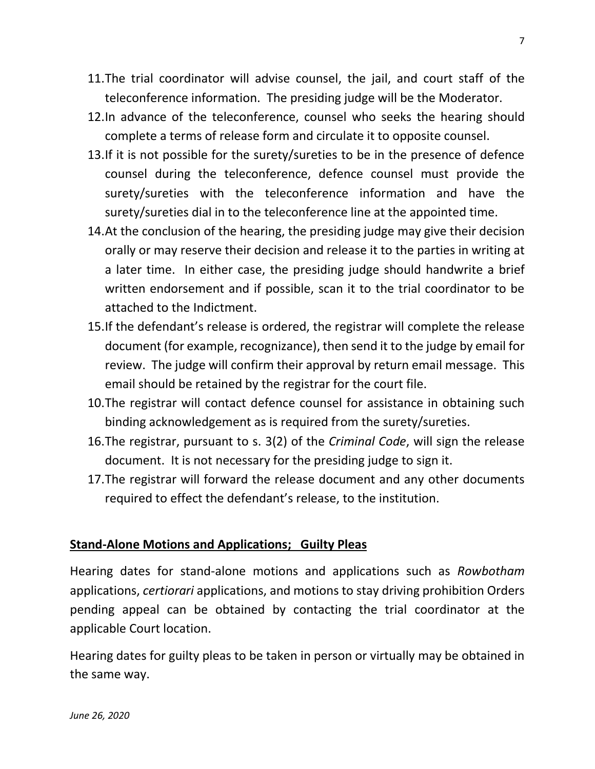- 11.The trial coordinator will advise counsel, the jail, and court staff of the teleconference information. The presiding judge will be the Moderator.
- 12.In advance of the teleconference, counsel who seeks the hearing should complete a terms of release form and circulate it to opposite counsel.
- 13.If it is not possible for the surety/sureties to be in the presence of defence counsel during the teleconference, defence counsel must provide the surety/sureties with the teleconference information and have the surety/sureties dial in to the teleconference line at the appointed time.
- 14.At the conclusion of the hearing, the presiding judge may give their decision orally or may reserve their decision and release it to the parties in writing at a later time. In either case, the presiding judge should handwrite a brief written endorsement and if possible, scan it to the trial coordinator to be attached to the Indictment.
- 15.If the defendant's release is ordered, the registrar will complete the release document (for example, recognizance), then send it to the judge by email for review. The judge will confirm their approval by return email message. This email should be retained by the registrar for the court file.
- 10.The registrar will contact defence counsel for assistance in obtaining such binding acknowledgement as is required from the surety/sureties.
- 16.The registrar, pursuant to s. 3(2) of the *Criminal Code*, will sign the release document. It is not necessary for the presiding judge to sign it.
- 17.The registrar will forward the release document and any other documents required to effect the defendant's release, to the institution.

#### **Stand-Alone Motions and Applications; Guilty Pleas**

Hearing dates for stand-alone motions and applications such as *Rowbotham* applications, *certiorari* applications, and motions to stay driving prohibition Orders pending appeal can be obtained by contacting the trial coordinator at the applicable Court location.

Hearing dates for guilty pleas to be taken in person or virtually may be obtained in the same way.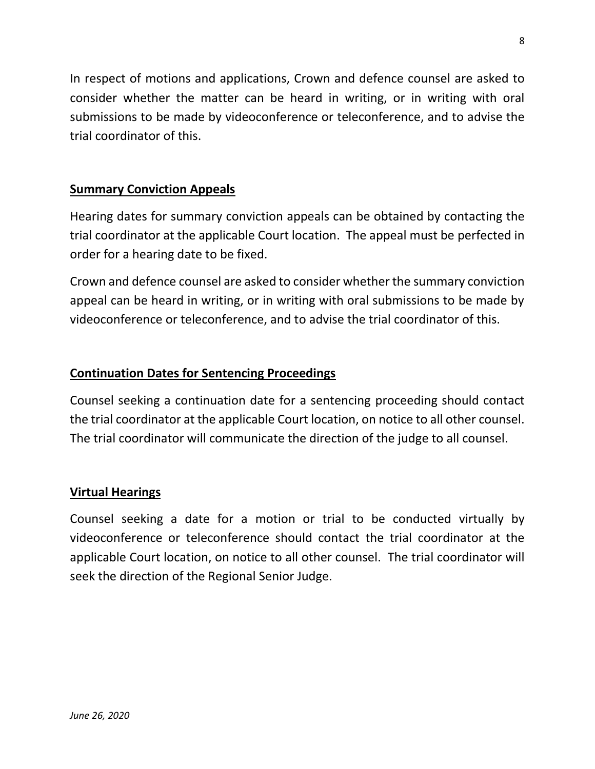In respect of motions and applications, Crown and defence counsel are asked to consider whether the matter can be heard in writing, or in writing with oral submissions to be made by videoconference or teleconference, and to advise the trial coordinator of this.

## **Summary Conviction Appeals**

Hearing dates for summary conviction appeals can be obtained by contacting the trial coordinator at the applicable Court location. The appeal must be perfected in order for a hearing date to be fixed.

Crown and defence counsel are asked to consider whether the summary conviction appeal can be heard in writing, or in writing with oral submissions to be made by videoconference or teleconference, and to advise the trial coordinator of this.

## **Continuation Dates for Sentencing Proceedings**

Counsel seeking a continuation date for a sentencing proceeding should contact the trial coordinator at the applicable Court location, on notice to all other counsel. The trial coordinator will communicate the direction of the judge to all counsel.

#### **Virtual Hearings**

Counsel seeking a date for a motion or trial to be conducted virtually by videoconference or teleconference should contact the trial coordinator at the applicable Court location, on notice to all other counsel. The trial coordinator will seek the direction of the Regional Senior Judge.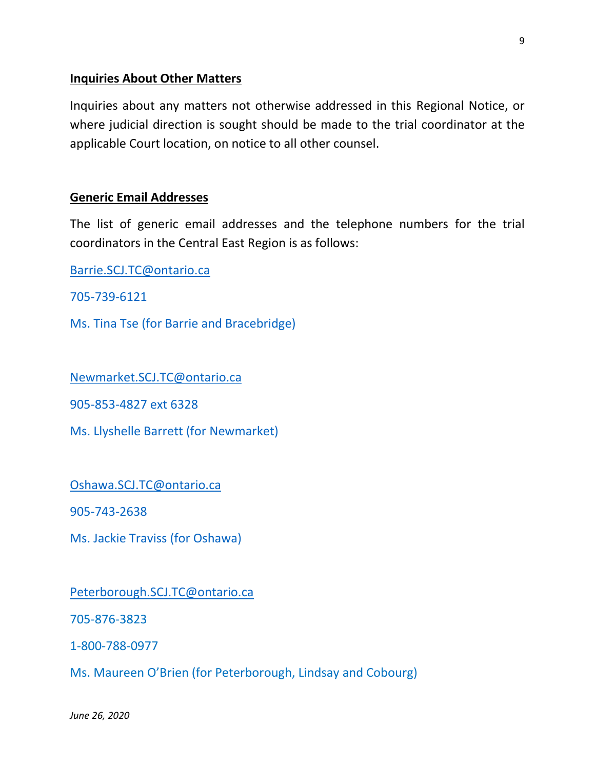#### **Inquiries About Other Matters**

Inquiries about any matters not otherwise addressed in this Regional Notice, or where judicial direction is sought should be made to the trial coordinator at the applicable Court location, on notice to all other counsel.

#### **Generic Email Addresses**

The list of generic email addresses and the telephone numbers for the trial coordinators in the Central East Region is as follows:

[Barrie.SCJ.TC@ontario.ca](mailto:Barrie.SCJ.TC@ontario.ca)

705-739-6121

Ms. Tina Tse (for Barrie and Bracebridge)

[Newmarket.SCJ.TC@ontario.ca](mailto:Newmarket.SCJ.TC@ontario.ca)

905-853-4827 ext 6328

Ms. Llyshelle Barrett (for Newmarket)

[Oshawa.SCJ.TC@ontario.ca](mailto:Oshawa.SCJ.TC@ontario.ca)

905-743-2638

Ms. Jackie Traviss (for Oshawa)

[Peterborough.SCJ.TC@ontario.ca](mailto:Peterborough.SCJ.TC@ontario.ca)

705-876-3823

1-800-788-0977

Ms. Maureen O'Brien (for Peterborough, Lindsay and Cobourg)

*June 26, 2020*